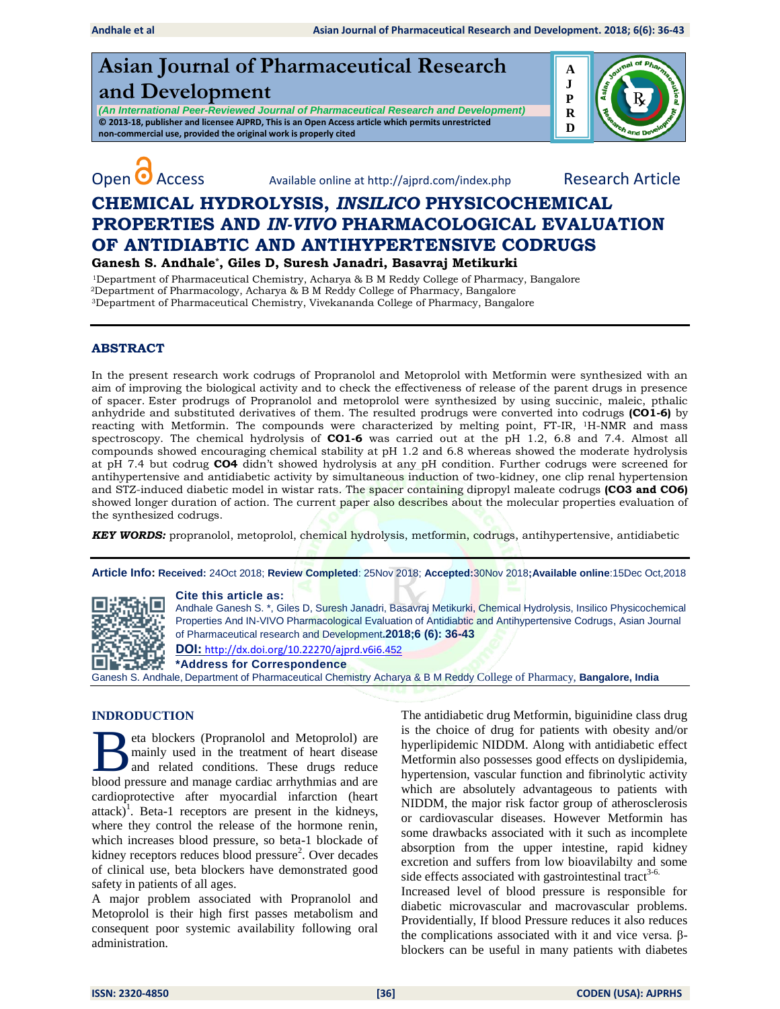# **Asian Journal of Pharmaceutical Research and Development**

*(An International Peer-Reviewed Journal of Pharmaceutical Research and Development)* **© 2013-18, publisher and licensee AJPRD, This is an Open Access article which permits unrestricted non-commercial use, provided the original work is properly cited**





Open **O** Access Available online at http://ajprd.com/index.php Research Article

# **CHEMICAL HYDROLYSIS,** *INSILICO* **PHYSICOCHEMICAL PROPERTIES AND** *IN-VIVO* **PHARMACOLOGICAL EVALUATION OF ANTIDIABTIC AND ANTIHYPERTENSIVE CODRUGS**

**Ganesh S. Andhale\*, Giles D, Suresh Janadri, Basavraj Metikurki** 

 <sup>1</sup>Department of Pharmaceutical Chemistry, Acharya & B M Reddy College of Pharmacy, Bangalore <sup>2</sup>Department of Pharmacology, Acharya & B M Reddy College of Pharmacy, Bangalore <sup>3</sup>Department of Pharmaceutical Chemistry, Vivekananda College of Pharmacy, Bangalore

# **ABSTRACT**

In the present research work codrugs of Propranolol and Metoprolol with Metformin were synthesized with an aim of improving the biological activity and to check the effectiveness of release of the parent drugs in presence of spacer. Ester prodrugs of Propranolol and metoprolol were synthesized by using succinic, maleic, pthalic anhydride and substituted derivatives of them. The resulted prodrugs were converted into codrugs **(CO1-6)** by reacting with Metformin. The compounds were characterized by melting point, FT-IR, 1H-NMR and mass spectroscopy. The chemical hydrolysis of **CO1-6** was carried out at the pH 1.2, 6.8 and 7.4. Almost all compounds showed encouraging chemical stability at pH 1.2 and 6.8 whereas showed the moderate hydrolysis at pH 7.4 but codrug **CO4** didn't showed hydrolysis at any pH condition. Further codrugs were screened for antihypertensive and antidiabetic activity by simultaneous induction of two-kidney, one clip renal hypertension and STZ-induced diabetic model in wistar rats. The spacer containing dipropyl maleate codrugs **(CO3 and CO6)** showed longer duration of action. The current paper also describes about the molecular properties evaluation of the synthesized codrugs.

*KEY WORDS:* propranolol, metoprolol, chemical hydrolysis, metformin, codrugs, antihypertensive, antidiabetic

**Article Info: Received:** 24Oct 2018; **Review Completed**: 25Nov 2018; **Accepted:**30Nov 2018**;Available online**:15Dec Oct,2018



**Cite this article as:**

Andhale Ganesh S. \*, Giles D, Suresh Janadri, Basavraj Metikurki, Chemical Hydrolysis, Insilico Physicochemical Properties And IN-VIVO Pharmacological Evaluation of Antidiabtic and Antihypertensive Codrugs, Asian Journal of Pharmaceutical research and Development**.2018;6 (6): 36-43** 

**DOI:** [http://dx.doi.org/10.22270/ajprd.v6i6.](http://dx.doi.org/10.22270/ajprd.v6i6.452)452

**\*Address for Correspondence** 

Ganesh S. Andhale, Department of Pharmaceutical Chemistry Acharya & B M Reddy College of Pharmacy, **Bangalore, India**

#### **INDRODUCTION**

eta blockers (Propranolol and Metoprolol) are mainly used in the treatment of heart disease and related conditions. These drugs reduce Beta blockers (Propranolol and Metoprolol) are mainly used in the treatment of heart disease and related conditions. These drugs reduce blood pressure and manage cardiac arrhythmias and are cardioprotective after myocardial infarction (heart attack $\hat{J}^1$ . Beta-1 receptors are present in the kidneys, where they control the release of the hormone renin, which increases blood pressure, so beta-1 blockade of kidney receptors reduces blood pressure<sup>2</sup>. Over decades of clinical use, beta blockers have demonstrated good safety in patients of all ages.

A major problem associated with Propranolol and Metoprolol is their high first passes metabolism and consequent poor systemic availability following oral administration.

The antidiabetic drug Metformin, biguinidine class drug is the choice of drug for patients with obesity and/or hyperlipidemic NIDDM. Along with antidiabetic effect Metformin also possesses good effects on dyslipidemia, hypertension, vascular function and fibrinolytic activity which are absolutely advantageous to patients with NIDDM, the major risk factor group of atherosclerosis or cardiovascular diseases. However Metformin has some drawbacks associated with it such as incomplete absorption from the upper intestine, rapid kidney excretion and suffers from low bioavilabilty and some side effects associated with gastrointestinal tract<sup>3-6.</sup>

Increased level of blood pressure is responsible for diabetic microvascular and macrovascular problems. Providentially, If blood Pressure reduces it also reduces the complications associated with it and vice versa. βblockers can be useful in many patients with diabetes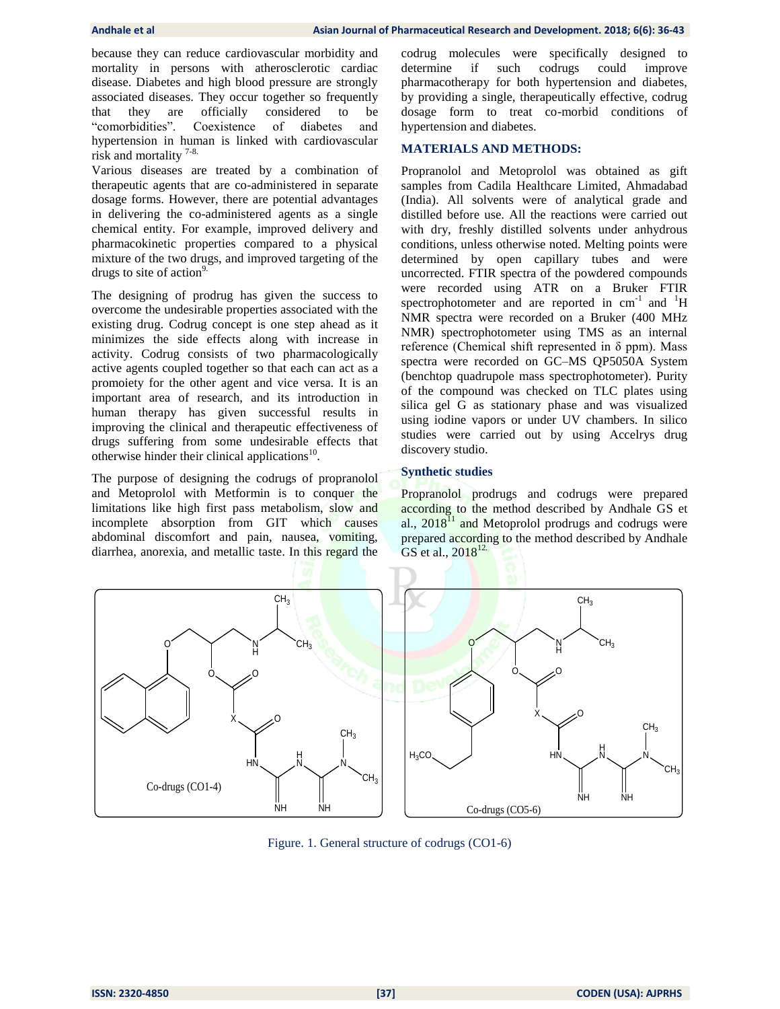because they can reduce cardiovascular morbidity and mortality in persons with atherosclerotic cardiac disease. Diabetes and high blood pressure are strongly associated diseases. They occur together so frequently that they are officially considered to be "comorbidities". Coexistence of diabetes and hypertension in human is linked with cardiovascular risk and mortality 7-8.

Various diseases are treated by a combination of therapeutic agents that are co-administered in separate dosage forms. However, there are potential advantages in delivering the co-administered agents as a single chemical entity. For example, improved delivery and pharmacokinetic properties compared to a physical mixture of the two drugs, and improved targeting of the drugs to site of action $9$ .

The designing of prodrug has given the success to overcome the undesirable properties associated with the existing drug. Codrug concept is one step ahead as it minimizes the side effects along with increase in activity. Codrug consists of two pharmacologically active agents coupled together so that each can act as a promoiety for the other agent and vice versa. It is an important area of research, and its introduction in human therapy has given successful results in improving the clinical and therapeutic effectiveness of drugs suffering from some undesirable effects that otherwise hinder their clinical applications<sup>10</sup>.

The purpose of designing the codrugs of propranolol and Metoprolol with Metformin is to conquer the limitations like high first pass metabolism, slow and incomplete absorption from GIT which causes abdominal discomfort and pain, nausea, vomiting, diarrhea, anorexia, and metallic taste. In this regard the

codrug molecules were specifically designed to determine if such codrugs could improve pharmacotherapy for both hypertension and diabetes, by providing a single, therapeutically effective, codrug dosage form to treat co-morbid conditions of hypertension and diabetes.

#### **MATERIALS AND METHODS:**

Propranolol and Metoprolol was obtained as gift samples from Cadila Healthcare Limited, Ahmadabad (India). All solvents were of analytical grade and distilled before use. All the reactions were carried out with dry, freshly distilled solvents under anhydrous conditions, unless otherwise noted. Melting points were determined by open capillary tubes and were uncorrected. FTIR spectra of the powdered compounds were recorded using ATR on a Bruker FTIR spectrophotometer and are reported in  $cm^{-1}$  and  $H$ NMR spectra were recorded on a Bruker (400 MHz NMR) spectrophotometer using TMS as an internal reference (Chemical shift represented in  $\delta$  ppm). Mass spectra were recorded on GC–MS QP5050A System (benchtop quadrupole mass spectrophotometer). Purity of the compound was checked on TLC plates using silica gel G as stationary phase and was visualized using iodine vapors or under UV chambers. In silico studies were carried out by using Accelrys drug discovery studio.

### **Synthetic studies**

Propranolol prodrugs and codrugs were prepared according to the method described by Andhale GS et al.,  $2018<sup>11</sup>$  and Metoprolol prodrugs and codrugs were prepared according to the method described by Andhale GS et al.,  $2018^{12}$ .



Figure. 1. General structure of codrugs (CO1-6)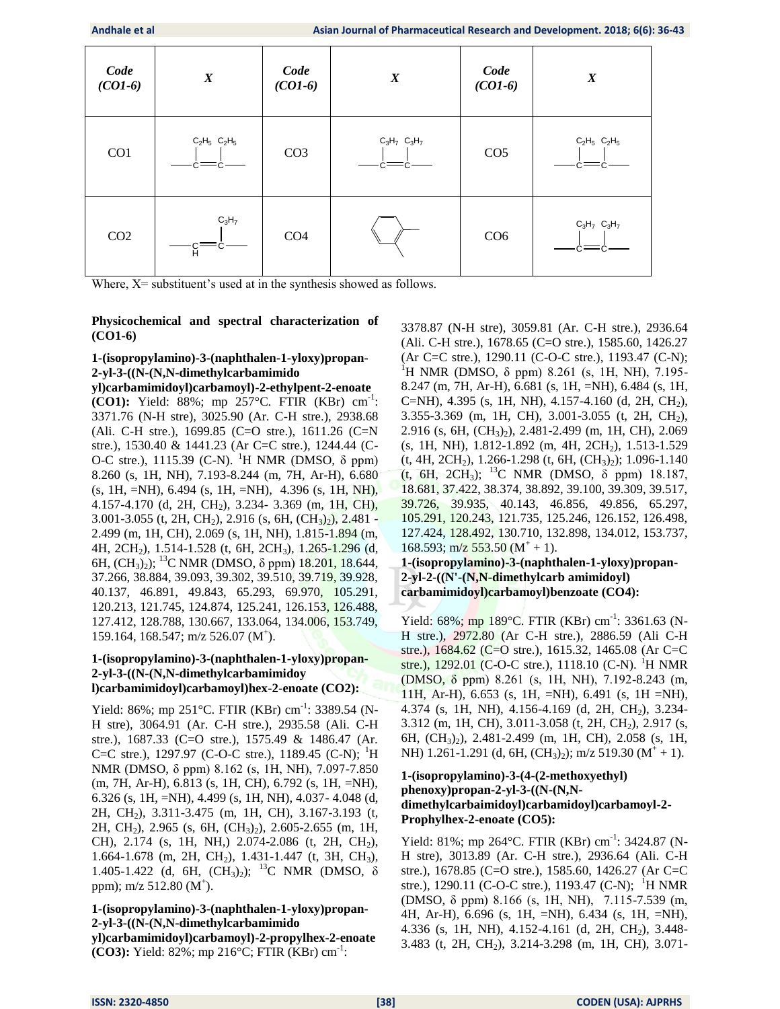| Code<br>$(CO1-6)$ | $\boldsymbol{X}$  | Code<br>$(CO1-6)$ | $\boldsymbol{X}$  | Code<br>$(CO1-6)$ | $\boldsymbol{X}$         |
|-------------------|-------------------|-------------------|-------------------|-------------------|--------------------------|
| CO <sub>1</sub>   | $C_2H_5$ $C_2H_5$ | CO <sub>3</sub>   | $C_3H_7$ $C_3H_7$ | CO <sub>5</sub>   | $C_2H_5$ $C_2H_5$        |
| CO <sub>2</sub>   | $C_3H_7$<br>Я.    | CO <sub>4</sub>   |                   | CO <sub>6</sub>   | $C_3H_7$ $C_3H_7$<br>c=c |

Where,  $X$ = substituent's used at in the synthesis showed as follows.

### **Physicochemical and spectral characterization of (CO1-6)**

# **1-(isopropylamino)-3-(naphthalen-1-yloxy)propan-2-yl-3-((N-(N,N-dimethylcarbamimido**

**yl)carbamimidoyl)carbamoyl)-2-ethylpent-2-enoate (CO1):** Yield:  $88\%$ ; mp 257°C. FTIR (KBr) cm<sup>-1</sup>: 3371.76 (N-H stre), 3025.90 (Ar. C-H stre.), 2938.68 (Ali. C-H stre.), 1699.85 (C=O stre.), 1611.26 (C=N stre.), 1530.40 & 1441.23 (Ar C=C stre.), 1244.44 (C-O-C stre.), 1115.39 (C-N). <sup>1</sup>H NMR (DMSO,  $\delta$  ppm) 8.260 (s, 1H, NH), 7.193-8.244 (m, 7H, Ar-H), 6.680 (s, 1H, =NH), 6.494 (s, 1H, =NH), 4.396 (s, 1H, NH), 4.157-4.170 (d, 2H, CH2), 3.234- 3.369 (m, 1H, CH), 3.001-3.055 (t, 2H, CH<sub>2</sub>), 2.916 (s, 6H,  $(CH_3)_2$ ), 2.481 -2.499 (m, 1H, CH), 2.069 (s, 1H, NH), 1.815-1.894 (m, 4H, 2CH2), 1.514-1.528 (t, 6H, 2CH3), 1.265-1.296 (d, 6H,  $(CH_3)_2$ ; <sup>13</sup>C NMR (DMSO,  $\delta$  ppm) 18.201, 18.644, 37.266, 38.884, 39.093, 39.302, 39.510, 39.719, 39.928, 40.137, 46.891, 49.843, 65.293, 69.970, 105.291, 120.213, 121.745, 124.874, 125.241, 126.153, 126.488, 127.412, 128.788, 130.667, 133.064, 134.006, 153.749, 159.164, 168.547; m/z 526.07 (M<sup>+</sup>).

#### **1-(isopropylamino)-3-(naphthalen-1-yloxy)propan-2-yl-3-((N-(N,N-dimethylcarbamimidoy l)carbamimidoyl)carbamoyl)hex-2-enoate (CO2):**

Yield: 86%; mp 251°C. FTIR (KBr) cm<sup>-1</sup>: 3389.54 (N-H stre), 3064.91 (Ar. C-H stre.), 2935.58 (Ali. C-H stre.), 1687.33 (C=O stre.), 1575.49 & 1486.47 (Ar. C=C stre.), 1297.97 (C-O-C stre.), 1189.45 (C-N); <sup>1</sup>H NMR (DMSO, δ ppm) 8.162 (s, 1H, NH), 7.097-7.850 (m, 7H, Ar-H), 6.813 (s, 1H, CH), 6.792 (s, 1H, =NH), 6.326 (s, 1H, =NH), 4.499 (s, 1H, NH), 4.037- 4.048 (d, 2H, CH2), 3.311-3.475 (m, 1H, CH), 3.167-3.193 (t, 2H, CH<sub>2</sub>), 2.965 (s, 6H, (CH<sub>3</sub>)<sub>2</sub>), 2.605-2.655 (m, 1H, CH), 2.174 (s, 1H, NH,) 2.074-2.086 (t, 2H, CH<sub>2</sub>), 1.664-1.678 (m, 2H, CH<sub>2</sub>), 1.431-1.447 (t, 3H, CH<sub>3</sub>), 1.405-1.422 (d, 6H,  $(CH_3)_2$ ); <sup>13</sup>C NMR (DMSO,  $\delta$ ppm); m/z  $512.80$  (M<sup>+</sup>).

### **1-(isopropylamino)-3-(naphthalen-1-yloxy)propan-2-yl-3-((N-(N,N-dimethylcarbamimido**

**yl)carbamimidoyl)carbamoyl)-2-propylhex-2-enoate (CO3):** Yield:  $82\%$ ; mp  $216\degree C$ ; FTIR (KBr) cm<sup>-1</sup>:

3378.87 (N-H stre), 3059.81 (Ar. C-H stre.), 2936.64 (Ali. C-H stre.), 1678.65 (C=O stre.), 1585.60, 1426.27 (Ar C=C stre.), 1290.11 (C-O-C stre.), 1193.47 (C-N); <sup>1</sup>H NMR (DMSO, δ ppm) 8.261 (s, 1H, NH), 7.195-8.247 (m, 7H, Ar-H), 6.681 (s, 1H, =NH), 6.484 (s, 1H, C=NH), 4.395 (s, 1H, NH), 4.157-4.160 (d, 2H, CH<sub>2</sub>), 3.355-3.369 (m, 1H, CH), 3.001-3.055 (t, 2H, CH<sub>2</sub>), 2.916 (s, 6H, (CH3)2), 2.481-2.499 (m, 1H, CH), 2.069 (s, 1H, NH), 1.812-1.892 (m, 4H, 2CH2), 1.513-1.529  $(t, 4H, 2CH<sub>2</sub>), 1.266-1.298$   $(t, 6H, (CH<sub>3</sub>)<sub>2</sub>)$ ; 1.096-1.140 (t, 6H, 2CH<sub>3</sub>); <sup>13</sup>C NMR (DMSO,  $\delta$  ppm) 18.187, 18.681, 37.422, 38.374, 38.892, 39.100, 39.309, 39.517, 39.726, 39.935, 40.143, 46.856, 49.856, 65.297, 105.291, 120.243, 121.735, 125.246, 126.152, 126.498, 127.424, 128.492, 130.710, 132.898, 134.012, 153.737, 168.593; m/z 553.50 ( $M^+ + 1$ ).

# **1-(isopropylamino)-3-(naphthalen-1-yloxy)propan-2-yl-2-((N'-(N,N-dimethylcarb amimidoyl) carbamimidoyl)carbamoyl)benzoate (CO4):**

Yield: 68%; mp 189°C. FTIR (KBr) cm<sup>-1</sup>: 3361.63 (N-H stre.), 2972.80 (Ar C-H stre.), 2886.59 (Ali C-H stre.), 1684.62 (C=O stre.), 1615.32, 1465.08 (Ar C=C stre.),  $1292.01$  (C-O-C stre.),  $1118.10$  (C-N). <sup>1</sup>H NMR (DMSO, δ ppm) 8.261 (s, 1H, NH), 7.192-8.243 (m, 11H, Ar-H), 6.653 (s, 1H, =NH), 6.491 (s, 1H =NH), 4.374 (s, 1H, NH), 4.156-4.169 (d, 2H, CH<sub>2</sub>), 3.234-3.312 (m, 1H, CH), 3.011-3.058 (t, 2H, CH2), 2.917 (s, 6H, (CH3)2), 2.481-2.499 (m, 1H, CH), 2.058 (s, 1H, NH) 1.261-1.291 (d, 6H,  $(CH_3)_2$ ); m/z 519.30 (M<sup>+</sup> + 1).

## **1-(isopropylamino)-3-(4-(2-methoxyethyl) phenoxy)propan-2-yl-3-((N-(N,Ndimethylcarbaimidoyl)carbamidoyl)carbamoyl-2- Prophylhex-2-enoate (CO5):**

Yield: 81%; mp 264°C. FTIR (KBr) cm<sup>-1</sup>: 3424.87 (N-H stre), 3013.89 (Ar. C-H stre.), 2936.64 (Ali. C-H stre.), 1678.85 (C=O stre.), 1585.60, 1426.27 (Ar C=C stre.), 1290.11 (C-O-C stre.), 1193.47 (C-N); <sup>1</sup>H NMR (DMSO, δ ppm) 8.166 (s, 1H, NH), 7.115-7.539 (m, 4H, Ar-H), 6.696 (s, 1H, =NH), 6.434 (s, 1H, =NH), 4.336 (s, 1H, NH), 4.152-4.161 (d, 2H, CH<sub>2</sub>), 3.448-3.483 (t, 2H, CH2), 3.214-3.298 (m, 1H, CH), 3.071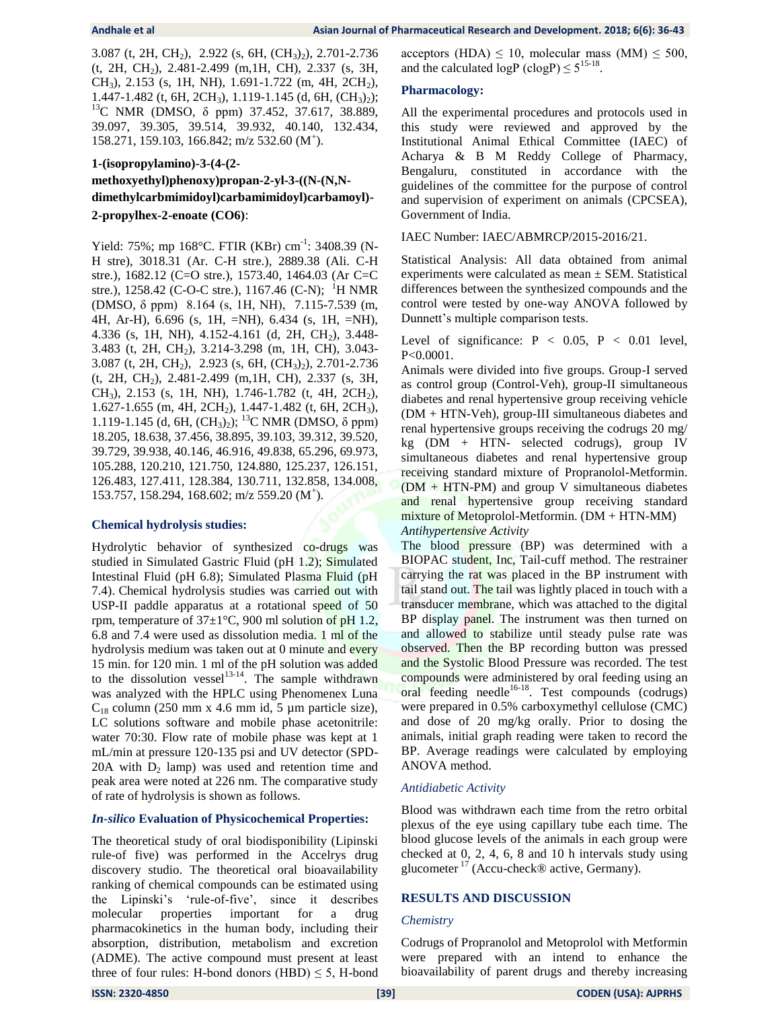3.087 (t, 2H, CH<sub>2</sub>), 2.922 (s, 6H,  $(CH_3)$ ), 2.701-2.736 (t, 2H, CH2), 2.481-2.499 (m,1H, CH), 2.337 (s, 3H, CH<sub>3</sub>), 2.153 (s, 1H, NH), 1.691-1.722 (m, 4H, 2CH<sub>2</sub>), 1.447-1.482 (t, 6H, 2CH<sub>3</sub>), 1.119-1.145 (d, 6H,  $(CH_3)_2$ ); <sup>13</sup>C NMR (DMSO, δ ppm) 37.452, 37.617, 38.889, 39.097, 39.305, 39.514, 39.932, 40.140, 132.434, 158.271, 159.103, 166.842; m/z 532.60 (M<sup>+</sup>).

# **1-(isopropylamino)-3-(4-(2 methoxyethyl)phenoxy)propan-2-yl-3-((N-(N,Ndimethylcarbmimidoyl)carbamimidoyl)carbamoyl)- 2-propylhex-2-enoate (CO6)**:

Yield: 75%; mp 168°C. FTIR (KBr) cm<sup>-1</sup>: 3408.39 (N-H stre), 3018.31 (Ar. C-H stre.), 2889.38 (Ali. C-H stre.), 1682.12 (C=O stre.), 1573.40, 1464.03 (Ar C=C stre.), 1258.42 (C-O-C stre.), 1167.46 (C-N); <sup>1</sup>H NMR (DMSO, δ ppm) 8.164 (s, 1H, NH), 7.115-7.539 (m, 4H, Ar-H), 6.696 (s, 1H, =NH), 6.434 (s, 1H, =NH), 4.336 (s, 1H, NH), 4.152-4.161 (d, 2H, CH2), 3.448- 3.483 (t, 2H, CH2), 3.214-3.298 (m, 1H, CH), 3.043- 3.087 (t, 2H, CH2), 2.923 (s, 6H, (CH3)2), 2.701-2.736 (t, 2H, CH2), 2.481-2.499 (m,1H, CH), 2.337 (s, 3H, CH<sub>3</sub>), 2.153 (s, 1H, NH), 1.746-1.782 (t, 4H, 2CH<sub>2</sub>), 1.627-1.655 (m, 4H, 2CH2), 1.447-1.482 (t, 6H, 2CH3), 1.119-1.145 (d, 6H, (CH<sub>3</sub>)<sub>2</sub>); <sup>13</sup>C NMR (DMSO, δ ppm) 18.205, 18.638, 37.456, 38.895, 39.103, 39.312, 39.520, 39.729, 39.938, 40.146, 46.916, 49.838, 65.296, 69.973, 105.288, 120.210, 121.750, 124.880, 125.237, 126.151, 126.483, 127.411, 128.384, 130.711, 132.858, 134.008, 153.757, 158.294, 168.602; m/z 559.20 (M<sup>+</sup>).

#### **Chemical hydrolysis studies:**

Hydrolytic behavior of synthesized co-drugs was studied in Simulated Gastric Fluid (pH 1.2); Simulated Intestinal Fluid (pH 6.8); Simulated Plasma Fluid (pH 7.4). Chemical hydrolysis studies was carried out with USP-II paddle apparatus at a rotational speed of 50 rpm, temperature of  $37\pm1^{\circ}$ C, 900 ml solution of pH 1.2, 6.8 and 7.4 were used as dissolution media. 1 ml of the hydrolysis medium was taken out at 0 minute and every 15 min. for 120 min. 1 ml of the pH solution was added to the dissolution vessel<sup>13-14</sup>. The sample withdrawn was analyzed with the HPLC using Phenomenex Luna  $C_{18}$  column (250 mm x 4.6 mm id, 5 µm particle size), LC solutions software and mobile phase acetonitrile: water 70:30. Flow rate of mobile phase was kept at 1 mL/min at pressure 120-135 psi and UV detector (SPD-20A with  $D_2$  lamp) was used and retention time and peak area were noted at 226 nm. The comparative study of rate of hydrolysis is shown as follows.

#### *In-silico* **Evaluation of Physicochemical Properties:**

The theoretical study of oral biodisponibility (Lipinski rule-of five) was performed in the Accelrys drug discovery studio. The theoretical oral bioavailability ranking of chemical compounds can be estimated using the Lipinski"s "rule-of-five", since it describes molecular properties important for a drug pharmacokinetics in the human body, including their absorption, distribution, metabolism and excretion (ADME). The active compound must present at least three of four rules: H-bond donors (HBD)  $\leq$  5, H-bond acceptors (HDA)  $\leq 10$ , molecular mass (MM)  $\leq 500$ , and the calculated  $logP$  (clogP)  $\leq 5^{15-18}$ .

### **Pharmacology:**

All the experimental procedures and protocols used in this study were reviewed and approved by the Institutional Animal Ethical Committee (IAEC) of Acharya & B M Reddy College of Pharmacy, Bengaluru, constituted in accordance with the guidelines of the committee for the purpose of control and supervision of experiment on animals (CPCSEA), Government of India.

#### IAEC Number: IAEC/ABMRCP/2015-2016/21.

Statistical Analysis: All data obtained from animal experiments were calculated as mean  $\pm$  SEM. Statistical differences between the synthesized compounds and the control were tested by one-way ANOVA followed by Dunnett's multiple comparison tests.

Level of significance:  $P < 0.05$ ,  $P < 0.01$  level, P<0.0001.

Animals were divided into five groups. Group-I served as control group (Control-Veh), group-II simultaneous diabetes and renal hypertensive group receiving vehicle (DM + HTN-Veh), group-III simultaneous diabetes and renal hypertensive groups receiving the codrugs 20 mg/  $kg$  (DM + HTN- selected codrugs), group IV simultaneous diabetes and renal hypertensive group receiving standard mixture of Propranolol-Metformin.  $(DM + HTN-PM)$  and group V simultaneous diabetes and renal hypertensive group receiving standard mixture of Metoprolol-Metformin. (DM + HTN-MM) *Antihypertensive Activity*

The blood **pressure** (BP) was determined with a BIOPAC student, Inc, Tail-cuff method. The restrainer carrying the rat was placed in the BP instrument with tail stand out. The tail was lightly placed in touch with a transducer membrane, which was attached to the digital BP display **panel**. The instrument was then turned on and allowed to stabilize until steady pulse rate was observed. Then the BP recording button was pressed and the Systolic Blood Pressure was recorded. The test compounds were administered by oral feeding using an oral feeding needle<sup>16-18</sup>. Test compounds (codrugs) were prepared in 0.5% carboxymethyl cellulose (CMC) and dose of 20 mg/kg orally. Prior to dosing the animals, initial graph reading were taken to record the BP. Average readings were calculated by employing ANOVA method.

#### *Antidiabetic Activity*

Blood was withdrawn each time from the retro orbital plexus of the eye using capillary tube each time. The blood glucose levels of the animals in each group were checked at 0, 2, 4, 6, 8 and 10 h intervals study using glucometer  $17$  (Accu-check® active, Germany).

#### **RESULTS AND DISCUSSION**

#### *Chemistry*

Codrugs of Propranolol and Metoprolol with Metformin were prepared with an intend to enhance the bioavailability of parent drugs and thereby increasing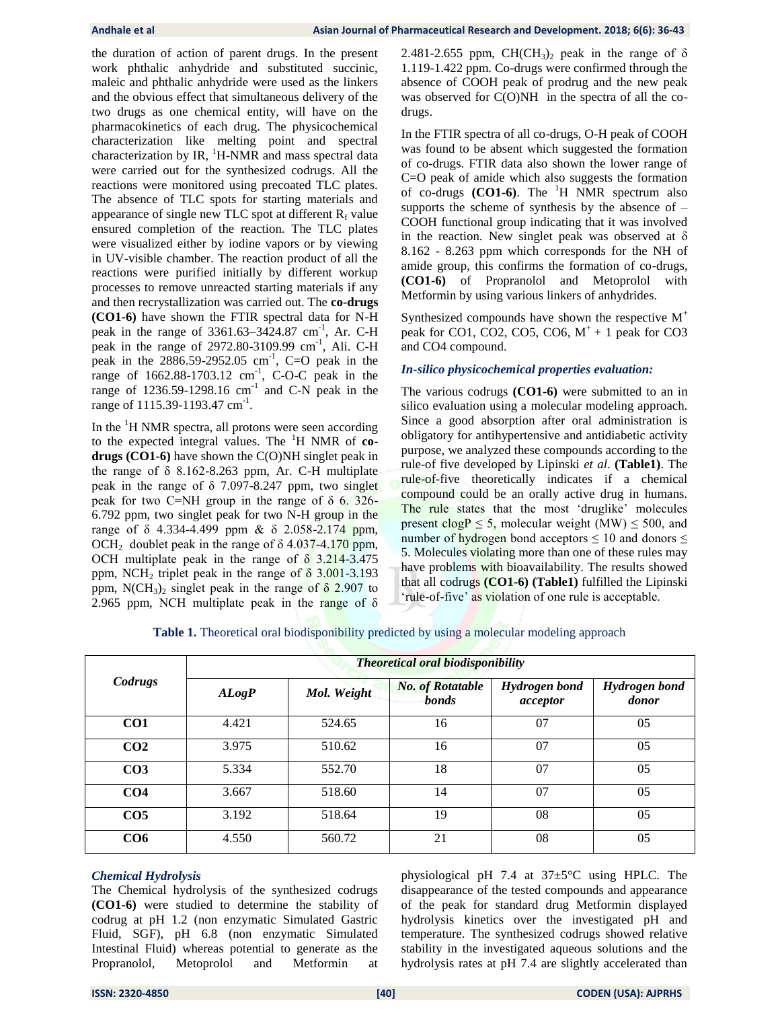the duration of action of parent drugs. In the present work phthalic anhydride and substituted succinic, maleic and phthalic anhydride were used as the linkers and the obvious effect that simultaneous delivery of the two drugs as one chemical entity, will have on the pharmacokinetics of each drug. The physicochemical characterization like melting point and spectral characterization by IR,  $^1$ H-NMR and mass spectral data were carried out for the synthesized codrugs. All the reactions were monitored using precoated TLC plates. The absence of TLC spots for starting materials and appearance of single new TLC spot at different  $R_f$  value ensured completion of the reaction. The TLC plates were visualized either by iodine vapors or by viewing in UV-visible chamber. The reaction product of all the reactions were purified initially by different workup processes to remove unreacted starting materials if any and then recrystallization was carried out. The **co-drugs (CO1-6)** have shown the FTIR spectral data for N-H peak in the range of  $3361.63 - 3424.87$  cm<sup>-1</sup>, Ar. C-H peak in the range of 2972.80-3109.99 cm<sup>-1</sup>, Ali. C-H peak in the  $2886.59 - 2952.05$  cm<sup>-1</sup>, C=O peak in the range of  $1662.88 - 1703.12$  cm<sup>-1</sup>, C-O-C peak in the range of  $1236.59 - 1298.16$  cm<sup>-1</sup> and C-N peak in the range of 1115.39-1193.47 cm<sup>-1</sup>.

In the  ${}^{1}$ H NMR spectra, all protons were seen according to the expected integral values. The <sup>1</sup>H NMR of **codrugs (CO1-6)** have shown the C(O)NH singlet peak in the range of  $\delta$  8.162-8.263 ppm, Ar. C-H multiplate peak in the range of  $\delta$  7.097-8.247 ppm, two singlet peak for two C=NH group in the range of  $\delta$  6. 326-6.792 ppm, two singlet peak for two N-H group in the range of δ 4.334-4.499 ppm & δ 2.058-2.174 ppm, OCH<sub>2</sub> doublet peak in the range of  $\delta$  4.037-4.170 ppm, OCH multiplate peak in the range of  $\delta$  3.214-3.475 ppm, NCH<sub>2</sub> triplet peak in the range of  $\delta$  3.001-3.193 ppm, N(CH<sub>3</sub>)<sub>2</sub> singlet peak in the range of  $\delta$  2.907 to 2.965 ppm, NCH multiplate peak in the range of  $\delta$ 

2.481-2.655 ppm,  $CH(CH_3)_2$  peak in the range of  $\delta$ 1.119-1.422 ppm. Co-drugs were confirmed through the absence of COOH peak of prodrug and the new peak was observed for C(O)NH in the spectra of all the codrugs.

In the FTIR spectra of all co-drugs, O-H peak of COOH was found to be absent which suggested the formation of co-drugs. FTIR data also shown the lower range of C=O peak of amide which also suggests the formation of co-drugs **(CO1-6)**. The <sup>1</sup>H NMR spectrum also supports the scheme of synthesis by the absence of  $-$ COOH functional group indicating that it was involved in the reaction. New singlet peak was observed at  $\delta$ 8.162 - 8.263 ppm which corresponds for the NH of amide group, this confirms the formation of co-drugs, **(CO1-6)** of Propranolol and Metoprolol with Metformin by using various linkers of anhydrides.

Synthesized compounds have shown the respective  $M^+$ peak for CO1, CO2, CO5, CO6,  $M^+$  + 1 peak for CO3 and CO4 compound.

#### *In-silico physicochemical properties evaluation:*

The various codrugs **(CO1-6)** were submitted to an in silico evaluation using a molecular modeling approach. Since a good absorption after oral administration is obligatory for antihypertensive and antidiabetic activity purpose, we analyzed these compounds according to the rule-of five developed by Lipinski *et al*. **(Table1)**. The rule-of-five theoretically indicates if a chemical compound could be an orally active drug in humans. The rule states that the most 'druglike' molecules present clogP  $\leq$  5, molecular weight (MW)  $\leq$  500, and number of hydrogen bond acceptors  $\leq 10$  and donors  $\leq$ 5. Molecules violating more than one of these rules may have problems with bioavailability. The results showed that all codrugs **(CO1-6) (Table1)** fulfilled the Lipinski 'rule-of-five' as violation of one rule is acceptable.

|                 | <b>Theoretical oral biodisponibility</b> |             |                                  |                                  |                               |  |  |  |  |
|-----------------|------------------------------------------|-------------|----------------------------------|----------------------------------|-------------------------------|--|--|--|--|
| Codrugs         | A Log P                                  | Mol. Weight | <b>No. of Rotatable</b><br>bonds | <b>Hydrogen</b> bond<br>acceptor | <b>Hydrogen</b> bond<br>donor |  |  |  |  |
| CO <sub>1</sub> | 4.421                                    | 524.65      | 16                               | 07                               | 05                            |  |  |  |  |
| CO <sub>2</sub> | 3.975                                    | 510.62      | 16                               | 07                               | 0 <sub>5</sub>                |  |  |  |  |
| CO <sub>3</sub> | 5.334                                    | 552.70      | 18                               | 07                               | 05                            |  |  |  |  |
| CO <sub>4</sub> | 3.667                                    | 518.60      | 14                               | 07                               | 0 <sub>5</sub>                |  |  |  |  |
| CO <sub>5</sub> | 3.192                                    | 518.64      | 19                               | 08                               | 05                            |  |  |  |  |
| CO6             | 4.550                                    | 560.72      | 21                               | 08                               | 05                            |  |  |  |  |

**Table 1.** Theoretical oral biodisponibility predicted by using a molecular modeling approach

#### *Chemical Hydrolysis*

The Chemical hydrolysis of the synthesized codrugs **(CO1-6)** were studied to determine the stability of codrug at pH 1.2 (non enzymatic Simulated Gastric Fluid, SGF), pH 6.8 (non enzymatic Simulated Intestinal Fluid) whereas potential to generate as the Propranolol, Metoprolol and Metformin at physiological pH 7.4 at 37±5°C using HPLC. The disappearance of the tested compounds and appearance of the peak for standard drug Metformin displayed hydrolysis kinetics over the investigated pH and temperature. The synthesized codrugs showed relative stability in the investigated aqueous solutions and the hydrolysis rates at pH 7.4 are slightly accelerated than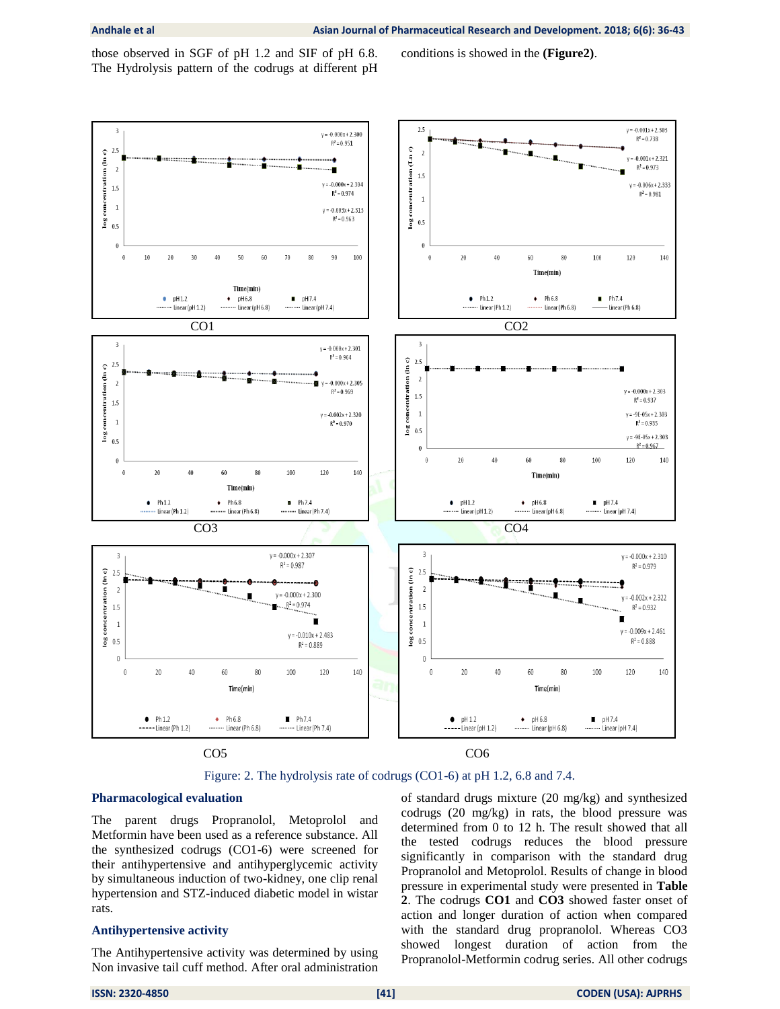those observed in SGF of pH 1.2 and SIF of pH 6.8. The Hydrolysis pattern of the codrugs at different pH conditions is showed in the **(Figure2)**.



Figure: 2. The hydrolysis rate of codrugs (CO1-6) at pH 1.2, 6.8 and 7.4.

#### **Pharmacological evaluation**

The parent drugs Propranolol, Metoprolol and Metformin have been used as a reference substance. All the synthesized codrugs (CO1-6) were screened for their antihypertensive and antihyperglycemic activity by simultaneous induction of two-kidney, one clip renal hypertension and STZ-induced diabetic model in wistar rats.

#### **Antihypertensive activity**

The Antihypertensive activity was determined by using Non invasive tail cuff method. After oral administration of standard drugs mixture (20 mg/kg) and synthesized codrugs (20 mg/kg) in rats, the blood pressure was determined from 0 to 12 h. The result showed that all the tested codrugs reduces the blood pressure significantly in comparison with the standard drug Propranolol and Metoprolol. Results of change in blood pressure in experimental study were presented in **Table 2**. The codrugs **CO1** and **CO3** showed faster onset of action and longer duration of action when compared with the standard drug propranolol. Whereas CO3 showed longest duration of action from the Propranolol-Metformin codrug series. All other codrugs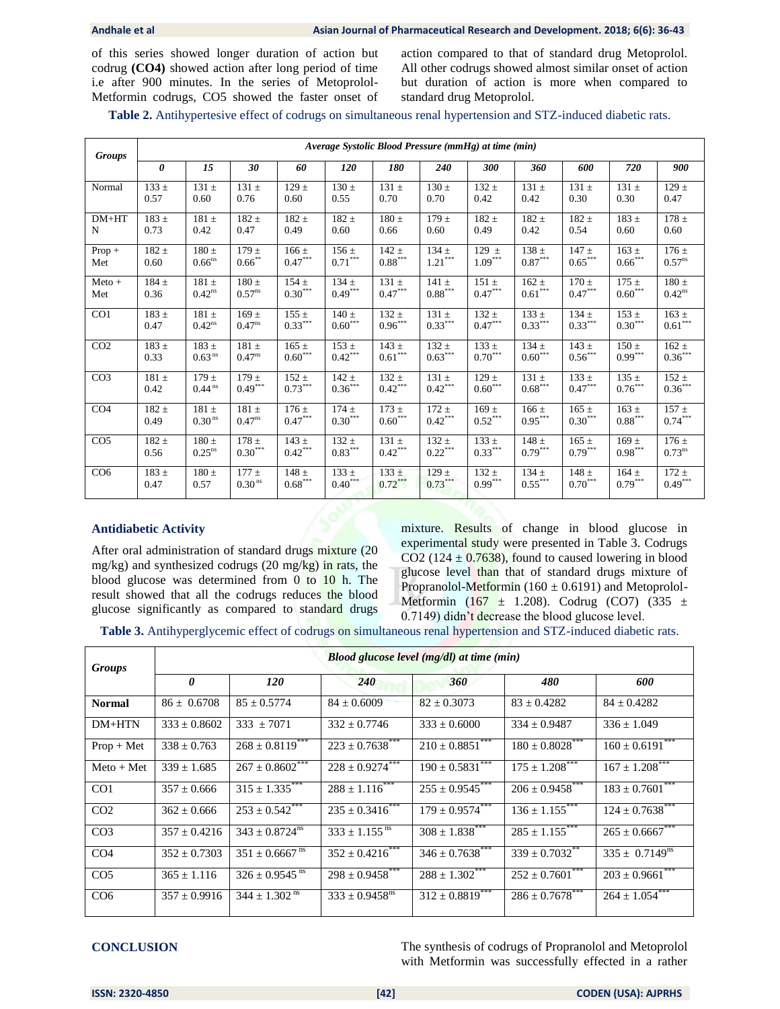of this series showed longer duration of action but codrug **(CO4)** showed action after long period of time i.e after 900 minutes. In the series of Metoprolol-Metformin codrugs, CO5 showed the faster onset of

action compared to that of standard drug Metoprolol. All other codrugs showed almost similar onset of action but duration of action is more when compared to standard drug Metoprolol.

**Table 2.** Antihypertesive effect of codrugs on simultaneous renal hypertension and STZ-induced diabetic rats.

| <b>Groups</b>   | Average Systolic Blood Pressure (mmHg) at time (min) |                      |                    |           |                       |                       |                       |                       |                       |                       |                       |                     |
|-----------------|------------------------------------------------------|----------------------|--------------------|-----------|-----------------------|-----------------------|-----------------------|-----------------------|-----------------------|-----------------------|-----------------------|---------------------|
|                 | $\boldsymbol{\theta}$                                | 15                   | 30                 | 60        | 120                   | 180                   | 240                   | 300                   | 360                   | 600                   | 720                   | 900                 |
| Normal          | $133 \pm$                                            | $131 \pm$            | $131 \pm$          | $129 \pm$ | $130 \pm$             | $131 \pm$             | $130 \pm$             | $132 \pm$             | $131 \pm$             | $131 \pm$             | $131 \pm$             | $129 \pm$           |
|                 | 0.57                                                 | 0.60                 | 0.76               | 0.60      | 0.55                  | 0.70                  | 0.70                  | 0.42                  | 0.42                  | 0.30                  | 0.30                  | 0.47                |
| $DM+HT$         | $183 +$                                              | $181 \pm$            | $182 \pm$          | $182 \pm$ | $182 \pm$             | $180 \pm$             | $179 +$               | $182 +$               | $182 \pm$             | $182 +$               | $183 \pm$             | $178 \pm$           |
| N               | 0.73                                                 | 0.42                 | 0.47               | 0.49      | 0.60                  | 0.66                  | 0.60                  | 0.49                  | 0.42                  | 0.54                  | 0.60                  | 0.60                |
| $Prop +$        | $182 \pm$                                            | $180 \pm$            | $179 +$            | $166 \pm$ | $156 \pm$             | $142 \pm$             | $134 \pm$             | $129 \pm$             | $138 \pm$             | $147 \pm$             | $163 \pm$             | $176 \pm$           |
| Met             | 0.60                                                 | $0.66$ <sup>ns</sup> | $0.66$ **          | $0.47***$ | $0.71***$             | $0.88^{\ast\ast\ast}$ | $1.21***$             | $1.09***$             | $0.87^{\ast\ast\ast}$ | $0.65***$             | $0.66^{***}$          | $0.57^{ns}$         |
| $Meto +$        | $184 \pm$                                            | $181 \pm$            | $180 \pm$          | $154 +$   | $134 +$               | $131 \pm$             | $141 +$               | $151 +$               | $162 \pm$             | $170 +$               | $175 +$               | $180 \pm$           |
| Met             | 0.36                                                 | $0.42$ <sup>ns</sup> | $0.57^{ns}$        | $0.30***$ | $0.49***$             | $0.47***$             | $0.88^{\ast\ast\ast}$ | $0.47***$             | $0.61***$             | $0.47***$             | $0.60***$             | $0.42^{\rm ns}$     |
| CO1             | $183 \pm$                                            | $181 \pm$            | $169 +$            | $155 \pm$ | $140 \pm$             | $132 \pm$             | $131 \pm$             | $132 \pm$             | $133 \pm$             | $134 \pm$             | $153 \pm$             | $163 \pm$           |
|                 | 0.47                                                 | $0.42^{ns}$          | $0.47^{ns}$        | $0.33***$ | $0.60^{\ast\ast\ast}$ | $0.96***$             | $0.33^{\ast\ast\ast}$ | $0.47^{\ast\ast\ast}$ | $0.33***$             | $0.33^{\ast\ast\ast}$ | $0.30***$             | $0.61***$           |
| CO <sub>2</sub> | $183 \pm$                                            | $183 +$              | $181 \pm$          | $165 \pm$ | $153 +$               | $143 \pm$             | $132 \pm$             | $133 \pm$             | $134 \pm$             | $143 \pm$             | $150 +$               | $162 +$             |
|                 | 0.33                                                 | $0.63^{\,\rm ns}$    | $0.47^{ns}$        | $0.60***$ | $0.42***$             | $0.61***$             | $0.63***$             | $0.70***$             | $0.60^\mathrm{***}$   | $0.56***$             | $0.99***$             | $0.36***$           |
| CO <sub>3</sub> | $181 \pm$                                            | $179 +$              | $179 +$            | $152 +$   | $142 \pm$             | $132 +$               | $131 \pm$             | 129±                  | $131 \pm$             | $133 \pm$             | $135 +$               | $152 \pm$           |
|                 | 0.42                                                 | $0.44$ <sup>ns</sup> | $0.49***$          | $0.73***$ | $0.36***$             | $0.42***$             | $0.42***$             | $0.60***$             | $0.68^{\ast\ast\ast}$ | $0.47***$             | $0.76^{\ast\ast\ast}$ | $0.36***$           |
| CO <sub>4</sub> | $182 \pm$                                            | $181 \pm$            | $181 \pm$          | $176 \pm$ | $174 +$               | $173 +$               | $172 +$               | $169 \pm$             | $166 \pm$             | $165 \pm$             | $163 +$               | $\frac{157 \pm}{ }$ |
|                 | 0.49                                                 | 0.30 <sup>ns</sup>   | $0.47^{ns}$        | $0.47***$ | $0.30***$             | $0.60***$             | $0.42***$             | $0.52***$             | $0.95***$             | $0.30^{\ast\ast\ast}$ | $0.88^{\ast\ast\ast}$ | $0.74***$           |
| CO <sub>5</sub> | $182 \pm$                                            | $180 \pm$            | $178 +$            | $143 \pm$ | $132 +$               | $131 \pm$             | $132 \pm$             | $133 \pm$             | $148 \pm$             | $165 \pm$             | $169 +$               | $176 \pm$           |
|                 | 0.56                                                 | $0.25$ <sup>ns</sup> | $0.30***$          | $0.42***$ | $0.83***$             | $0.42***$             | $0.22^{\ast\ast\ast}$ | $0.33^{\ast\ast\ast}$ | $0.79***$             | $0.79***$             | $0.98***$             | $0.73^{ns}$         |
| CO <sub>6</sub> | $183 \pm$                                            | $180 \pm$            | $177 +$            | $148 \pm$ | $133 \pm$             | $133 \pm$             | $129 \pm$             | $132 \pm$             | $134 \pm$             | $148 \pm$             | $164 \pm$             | $172 \pm$           |
|                 | 0.47                                                 | 0.57                 | 0.30 <sup>ns</sup> | $0.68***$ | $0.40***$             | $0.72***$             | $0.73***$             | $0.99***$             | $0.55***$             | $0.70***$             | $0.79***$             | $0.49***$           |

#### **Antidiabetic Activity**

After oral administration of standard drugs mixture (20 mg/kg) and synthesized codrugs (20 mg/kg) in rats, the blood glucose was determined from 0 to 10 h. The result showed that all the codrugs reduces the blood glucose significantly as compared to standard drugs mixture. Results of change in blood glucose in experimental study were presented in Table 3. Codrugs CO2 (124  $\pm$  0.7638), found to caused lowering in blood glucose level than that of standard drugs mixture of Propranolol-Metformin (160  $\pm$  0.6191) and Metoprolol-Metformin (167  $\pm$  1.208). Codrug (CO7) (335  $\pm$ 0.7149) didn't decrease the blood glucose level.

**Table 3.** Antihyperglycemic effect of codrugs on simultaneous renal hypertension and STZ-induced diabetic rats.

| Groups          | <b>Blood glucose level (mg/dl) at time (min)</b> |                                |                                |                      |                      |                                |  |  |  |  |
|-----------------|--------------------------------------------------|--------------------------------|--------------------------------|----------------------|----------------------|--------------------------------|--|--|--|--|
|                 | $\theta$                                         | <b>120</b>                     | 240                            | 360                  | 480                  | 600                            |  |  |  |  |
| <b>Normal</b>   | $86 \pm 0.6708$                                  | $85 \pm 0.5774$                | $84 \pm 0.6009$                | $82 \pm 0.3073$      | $83 \pm 0.4282$      | $84 \pm 0.4282$                |  |  |  |  |
| $DM+HTN$        | $333 \pm 0.8602$                                 | $333 \pm 7071$                 | $332 \pm 0.7746$               | $333 \pm 0.6000$     | $334 \pm 0.9487$     | $336 \pm 1.049$                |  |  |  |  |
| $Prop + Met$    | $338 \pm 0.763$                                  | $268 \pm 0.8119***$            | $223 \pm 0.7638$ ***           | $210 \pm 0.8851$ *** | $180 \pm 0.8028$ *** | $160 \pm 0.6191$ ***           |  |  |  |  |
| $Meto + Met$    | $339 \pm 1.685$                                  | $267 \pm 0.8602$ ***           | $228 \pm 0.9274$ ***           | $190 \pm 0.5831$ *** | $175 \pm 1.208$ ***  | $167 \pm 1.208$ ***            |  |  |  |  |
| CO <sub>1</sub> | $357 \pm 0.666$                                  | $315 \pm 1.335$ ***            | $288 \pm 1.116$ ***            | $255 \pm 0.9545$ *** | $206 \pm 0.9458$ *** | $183 \pm 0.7601$ ***           |  |  |  |  |
| CO <sub>2</sub> | $362 \pm 0.666$                                  | $253 \pm 0.542$ ***            | $235 \pm 0.3416$ ***           | $179 \pm 0.9574***$  | $136 \pm 1.155$ ***  | $124 \pm 0.7638$ <sup>**</sup> |  |  |  |  |
| CO <sub>3</sub> | $357 \pm 0.4216$                                 | $343 \pm 0.8724^{\text{ns}}$   | $333 \pm 1.155$ <sup>ns</sup>  | $308 \pm 1.838$ ***  | $285 \pm 1.155$ ***  | $265 + 0.6667$ ***             |  |  |  |  |
| CO <sub>4</sub> | $352 \pm 0.7303$                                 | $351 \pm 0.6667$ <sup>ns</sup> | $352 \pm 0.4216$ ***           | $346 \pm 0.7638$ *** | $339 \pm 0.7032$ **  | $335 \pm 0.7149^{\text{ns}}$   |  |  |  |  |
| CO <sub>5</sub> | $365 \pm 1.116$                                  | $326 \pm 0.9545$ <sup>ns</sup> | $298 \pm 0.9458$ ***           | $288 \pm 1.302$ ***  | $252 \pm 0.7601$ *** | $203 \pm 0.9661$ ***           |  |  |  |  |
| CO <sub>6</sub> | $357 \pm 0.9916$                                 | $344 \pm 1.302$ <sup>ns</sup>  | $333 \pm 0.9458$ <sup>ns</sup> | $312 \pm 0.8819$ *** | $286 \pm 0.7678$ *** | $264 \pm 1.054$ ***            |  |  |  |  |

**CONCLUSION** The synthesis of codrugs of Propranolol and Metoprolol with Metformin was successfully effected in a rather